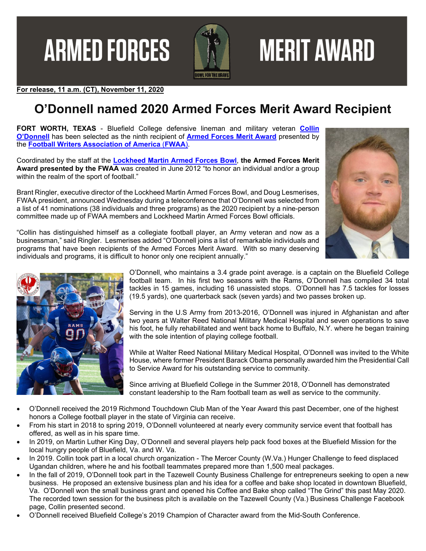**ARMED FORCES** 



# **MERIT AWARD**

**For release, 11 a.m. (CT), November 11, 2020** 

# **O'Donnell named 2020 Armed Forces Merit Award Recipient**

**FORT WORTH, TEXAS** - Bluefield College defensive lineman and military veteran **Collin O'Donnell** has been selected as the ninth recipient of **Armed Forces Merit Award** presented by the **Football Writers Association of America** (**FWAA**).

Coordinated by the staff at the **Lockheed Martin Armed Forces Bowl**, **the Armed Forces Merit Award presented by the FWAA** was created in June 2012 "to honor an individual and/or a group within the realm of the sport of football."

Brant Ringler, executive director of the Lockheed Martin Armed Forces Bowl, and Doug Lesmerises, FWAA president, announced Wednesday during a teleconference that O'Donnell was selected from a list of 41 nominations (38 individuals and three programs) as the 2020 recipient by a nine-person committee made up of FWAA members and Lockheed Martin Armed Forces Bowl officials.



"Collin has distinguished himself as a collegiate football player, an Army veteran and now as a businessman," said Ringler. Lesmerises added "O'Donnell joins a list of remarkable individuals and programs that have been recipients of the Armed Forces Merit Award. With so many deserving individuals and programs, it is difficult to honor only one recipient annually."



O'Donnell, who maintains a 3.4 grade point average. is a captain on the Bluefield College football team. In his first two seasons with the Rams, O'Donnell has compiled 34 total tackles in 15 games, including 16 unassisted stops. O'Donnell has 7.5 tackles for losses (19.5 yards), one quarterback sack (seven yards) and two passes broken up.

Serving in the U.S Army from 2013-2016, O'Donnell was injured in Afghanistan and after two years at Walter Reed National Military Medical Hospital and seven operations to save his foot, he fully rehabilitated and went back home to Buffalo, N.Y. where he began training with the sole intention of playing college football.

While at Walter Reed National Military Medical Hospital, O'Donnell was invited to the White House, where former President Barack Obama personally awarded him the Presidential Call to Service Award for his outstanding service to community.

Since arriving at Bluefield College in the Summer 2018, O'Donnell has demonstrated constant leadership to the Ram football team as well as service to the community.

- O'Donnell received the 2019 Richmond Touchdown Club Man of the Year Award this past December, one of the highest honors a College football player in the state of Virginia can receive.
- From his start in 2018 to spring 2019, O'Donnell volunteered at nearly every community service event that football has offered, as well as in his spare time.
- In 2019, on Martin Luther King Day, O'Donnell and several players help pack food boxes at the Bluefield Mission for the local hungry people of Bluefield, Va. and W. Va.
- In 2019. Collin took part in a local church organization The Mercer County (W.Va.) Hunger Challenge to feed displaced Ugandan children, where he and his football teammates prepared more than 1,500 meal packages.
- In the fall of 2019, O'Donnell took part in the Tazewell County Business Challenge for entrepreneurs seeking to open a new business. He proposed an extensive business plan and his idea for a coffee and bake shop located in downtown Bluefield, Va. O'Donnell won the small business grant and opened his Coffee and Bake shop called "The Grind" this past May 2020. The recorded town session for the business pitch is available on the Tazewell County (Va.) Business Challenge Facebook page, Collin presented second.
- O'Donnell received Bluefield College's 2019 Champion of Character award from the Mid-South Conference.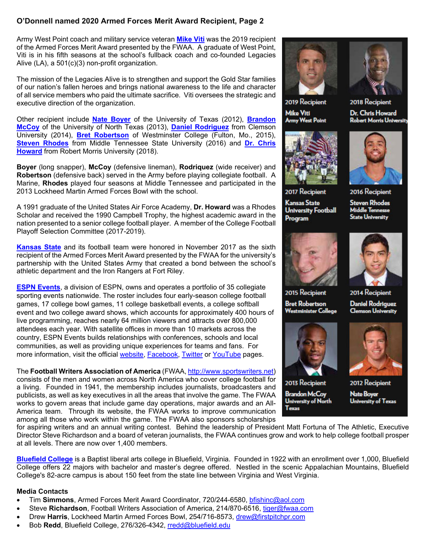#### **O'Donnell named 2020 Armed Forces Merit Award Recipient, Page 2**

Army West Point coach and military service veteran **Mike Viti** was the 2019 recipient of the Armed Forces Merit Award presented by the FWAA. A graduate of West Point, Viti is in his fifth seasons at the school's fullback coach and co-founded Legacies Alive (LA), a 501(c)(3) non-profit organization.

The mission of the Legacies Alive is to strengthen and support the Gold Star families of our nation's fallen heroes and brings national awareness to the life and character of all service members who paid the ultimate sacrifice. Viti oversees the strategic and executive direction of the organization.

Other recipient include **Nate Boyer** of the University of Texas (2012), **Brandon McCoy** of the University of North Texas (2013), **Daniel Rodriguez** from Clemson University (2014), **Bret Robertson** of Westminster College (Fulton, Mo., 2015), **Steven Rhodes** from Middle Tennessee State University (2016) and **Dr. Chris Howard** from Robert Morris University (2018).

**Boyer** (long snapper), **McCoy** (defensive lineman), **Rodriquez** (wide receiver) and **Robertson** (defensive back) served in the Army before playing collegiate football. A Marine, **Rhodes** played four seasons at Middle Tennessee and participated in the 2013 Lockheed Martin Armed Forces Bowl with the school.

A 1991 graduate of the United States Air Force Academy, **Dr. Howard** was a Rhodes Scholar and received the 1990 Campbell Trophy, the highest academic award in the nation presented to a senior college football player. A member of the College Football Playoff Selection Committee (2017-2019).

**Kansas State** and its football team were honored in November 2017 as the sixth recipient of the Armed Forces Merit Award presented by the FWAA for the university's partnership with the United States Army that created a bond between the school's athletic department and the Iron Rangers at Fort Riley.

**ESPN Events**, a division of ESPN, owns and operates a portfolio of 35 collegiate sporting events nationwide. The roster includes four early-season college football games, 17 college bowl games, 11 college basketball events, a college softball event and two college award shows, which accounts for approximately 400 hours of live programming, reaches nearly 64 million viewers and attracts over 800,000 attendees each year. With satellite offices in more than 10 markets across the country, ESPN Events builds relationships with conferences, schools and local communities, as well as providing unique experiences for teams and fans. For more information, visit the official website, Facebook, Twitter or YouTube pages.

#### The **Football Writers Association of America** (FWAA, http://www.sportswriters.net) consists of the men and women across North America who cover college football for a living. Founded in 1941, the membership includes journalists, broadcasters and publicists, as well as key executives in all the areas that involve the game. The FWAA works to govern areas that include game day operations, major awards and an All-America team. Through its website, the FWAA works to improve communication among all those who work within the game. The FWAA also sponsors scholarships





2019 Recipient **Mike Viti Army West Point** 





**Kansas State** 

Program

**University Football** 



2016 Recipient

**Steven Rhodes Middle Tennesse State University** 



2015 Recipient **Bret Robertson** 

**Westminister College** 



2013 Recipient **Brandon McCoy University of North Texas** 



2014 Recipient

**Daniel Rodriguez Clemson University** 



2012 Recipient **Nate Boyer University of Texas** 

for aspiring writers and an annual writing contest. Behind the leadership of President Matt Fortuna of The Athletic, Executive Director Steve Richardson and a board of veteran journalists, the FWAA continues grow and work to help college football prosper at all levels. There are now over 1,400 members.

**Bluefield College** is a Baptist liberal arts college in Bluefield, Virginia. Founded in 1922 with an enrollment over 1,000, Bluefield College offers 22 majors with bachelor and master's degree offered. Nestled in the scenic Appalachian Mountains, Bluefield College's 82-acre campus is about 150 feet from the state line between Virginia and West Virginia.

#### **Media Contacts**

- Tim **Simmons**, Armed Forces Merit Award Coordinator, 720/244-6580, bfishinc@aol.com
- Steve **Richardson**, Football Writers Association of America, 214/870-6516, tiger@fwaa.com
- Drew **Harris**, Lockheed Martin Armed Forces Bowl, 254/716-8573, drew@firstpitchpr.com
- Bob **Redd**, Bluefield College, 276/326-4342, rredd@bluefield.edu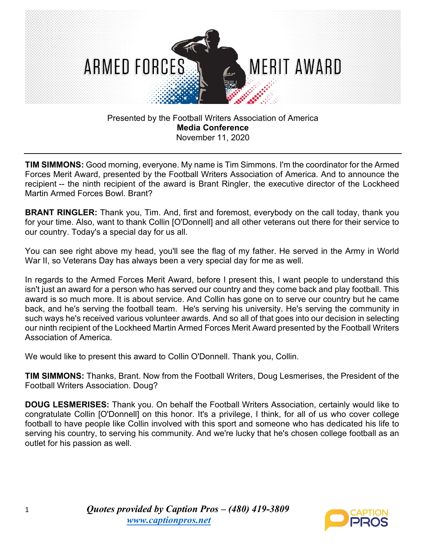

**TIM SIMMONS:** Good morning, everyone. My name is Tim Simmons. I'm the coordinator for the Armed Forces Merit Award, presented by the Football Writers Association of America. And to announce the recipient -- the ninth recipient of the award is Brant Ringler, the executive director of the Lockheed Martin Armed Forces Bowl. Brant?

**BRANT RINGLER:** Thank you, Tim. And, first and foremost, everybody on the call today, thank you for your time. Also, want to thank Collin [O'Donnell] and all other veterans out there for their service to our country. Today's a special day for us all.

You can see right above my head, you'll see the flag of my father. He served in the Army in World War II, so Veterans Day has always been a very special day for me as well.

In regards to the Armed Forces Merit Award, before I present this, I want people to understand this isn't just an award for a person who has served our country and they come back and play football. This award is so much more. It is about service. And Collin has gone on to serve our country but he came back, and he's serving the football team. He's serving his university. He's serving the community in such ways he's received various volunteer awards. And so all of that goes into our decision in selecting our ninth recipient of the Lockheed Martin Armed Forces Merit Award presented by the Football Writers Association of America.

We would like to present this award to Collin O'Donnell. Thank you, Collin.

**TIM SIMMONS:** Thanks, Brant. Now from the Football Writers, Doug Lesmerises, the President of the Football Writers Association. Doug?

**DOUG LESMERISES:** Thank you. On behalf the Football Writers Association, certainly would like to congratulate Collin [O'Donnell] on this honor. It's a privilege, I think, for all of us who cover college football to have people like Collin involved with this sport and someone who has dedicated his life to serving his country, to serving his community. And we're lucky that he's chosen college football as an outlet for his passion as well.

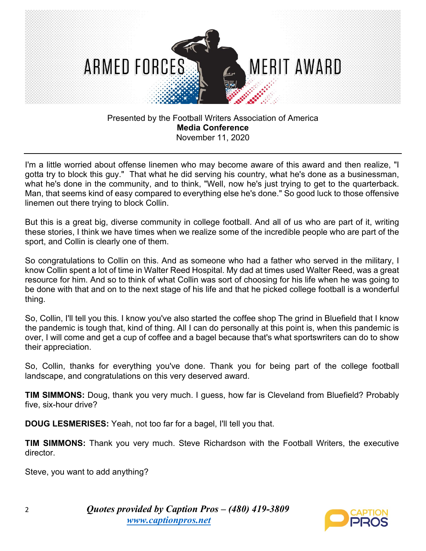

I'm a little worried about offense linemen who may become aware of this award and then realize, "I gotta try to block this guy." That what he did serving his country, what he's done as a businessman, what he's done in the community, and to think, "Well, now he's just trying to get to the quarterback. Man, that seems kind of easy compared to everything else he's done." So good luck to those offensive linemen out there trying to block Collin.

But this is a great big, diverse community in college football. And all of us who are part of it, writing these stories, I think we have times when we realize some of the incredible people who are part of the sport, and Collin is clearly one of them.

So congratulations to Collin on this. And as someone who had a father who served in the military, I know Collin spent a lot of time in Walter Reed Hospital. My dad at times used Walter Reed, was a great resource for him. And so to think of what Collin was sort of choosing for his life when he was going to be done with that and on to the next stage of his life and that he picked college football is a wonderful thing.

So, Collin, I'll tell you this. I know you've also started the coffee shop The grind in Bluefield that I know the pandemic is tough that, kind of thing. All I can do personally at this point is, when this pandemic is over, I will come and get a cup of coffee and a bagel because that's what sportswriters can do to show their appreciation.

So, Collin, thanks for everything you've done. Thank you for being part of the college football landscape, and congratulations on this very deserved award.

**TIM SIMMONS:** Doug, thank you very much. I guess, how far is Cleveland from Bluefield? Probably five, six-hour drive?

**DOUG LESMERISES:** Yeah, not too far for a bagel, I'll tell you that.

**TIM SIMMONS:** Thank you very much. Steve Richardson with the Football Writers, the executive director.

Steve, you want to add anything?

2 *Quotes provided by Caption Pros – (480) 419-3809 [www.captionpros.](http://www.captionpros/)net*

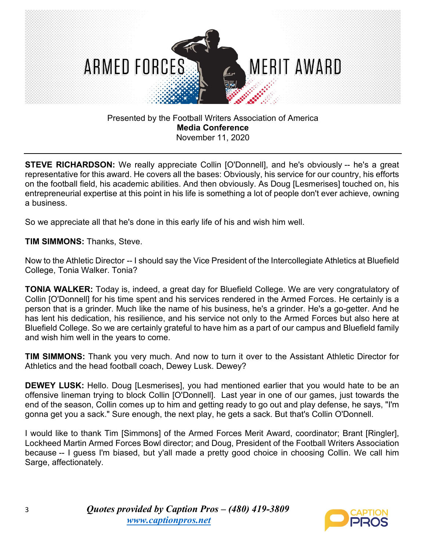

**STEVE RICHARDSON:** We really appreciate Collin [O'Donnell], and he's obviously -- he's a great representative for this award. He covers all the bases: Obviously, his service for our country, his efforts on the football field, his academic abilities. And then obviously. As Doug [Lesmerises] touched on, his entrepreneurial expertise at this point in his life is something a lot of people don't ever achieve, owning a business.

So we appreciate all that he's done in this early life of his and wish him well.

**TIM SIMMONS:** Thanks, Steve.

Now to the Athletic Director -- I should say the Vice President of the Intercollegiate Athletics at Bluefield College, Tonia Walker. Tonia?

**TONIA WALKER:** Today is, indeed, a great day for Bluefield College. We are very congratulatory of Collin [O'Donnell] for his time spent and his services rendered in the Armed Forces. He certainly is a person that is a grinder. Much like the name of his business, he's a grinder. He's a go-getter. And he has lent his dedication, his resilience, and his service not only to the Armed Forces but also here at Bluefield College. So we are certainly grateful to have him as a part of our campus and Bluefield family and wish him well in the years to come.

**TIM SIMMONS:** Thank you very much. And now to turn it over to the Assistant Athletic Director for Athletics and the head football coach, Dewey Lusk. Dewey?

**DEWEY LUSK:** Hello. Doug [Lesmerises], you had mentioned earlier that you would hate to be an offensive lineman trying to block Collin [O'Donnell]. Last year in one of our games, just towards the end of the season, Collin comes up to him and getting ready to go out and play defense, he says, "I'm gonna get you a sack." Sure enough, the next play, he gets a sack. But that's Collin O'Donnell.

I would like to thank Tim [Simmons] of the Armed Forces Merit Award, coordinator; Brant [Ringler], Lockheed Martin Armed Forces Bowl director; and Doug, President of the Football Writers Association because -- I guess I'm biased, but y'all made a pretty good choice in choosing Collin. We call him Sarge, affectionately.

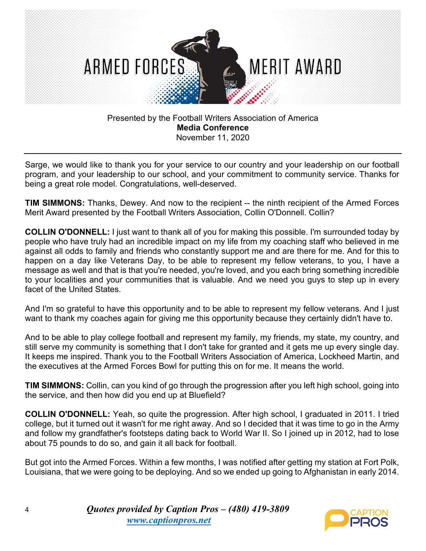

Sarge, we would like to thank you for your service to our country and your leadership on our football program, and your leadership to our school, and your commitment to community service. Thanks for being a great role model. Congratulations, well-deserved.

**TIM SIMMONS:** Thanks, Dewey. And now to the recipient -- the ninth recipient of the Armed Forces Merit Award presented by the Football Writers Association, Collin O'Donnell. Collin?

**COLLIN O'DONNELL:** I just want to thank all of you for making this possible. I'm surrounded today by people who have truly had an incredible impact on my life from my coaching staff who believed in me against all odds to family and friends who constantly support me and are there for me. And for this to happen on a day like Veterans Day, to be able to represent my fellow veterans, to you, I have a message as well and that is that you're needed, you're loved, and you each bring something incredible to your localities and your communities that is valuable. And we need you guys to step up in every facet of the United States.

And I'm so grateful to have this opportunity and to be able to represent my fellow veterans. And I just want to thank my coaches again for giving me this opportunity because they certainly didn't have to.

And to be able to play college football and represent my family, my friends, my state, my country, and still serve my community is something that I don't take for granted and it gets me up every single day. It keeps me inspired. Thank you to the Football Writers Association of America, Lockheed Martin, and the executives at the Armed Forces Bowl for putting this on for me. It means the world.

**TIM SIMMONS:** Collin, can you kind of go through the progression after you left high school, going into the service, and then how did you end up at Bluefield?

**COLLIN O'DONNELL:** Yeah, so quite the progression. After high school, I graduated in 2011. I tried college, but it turned out it wasn't for me right away. And so I decided that it was time to go in the Army and follow my grandfather's footsteps dating back to World War II. So I joined up in 2012, had to lose about 75 pounds to do so, and gain it all back for football.

But got into the Armed Forces. Within a few months, I was notified after getting my station at Fort Polk, Louisiana, that we were going to be deploying. And so we ended up going to Afghanistan in early 2014.

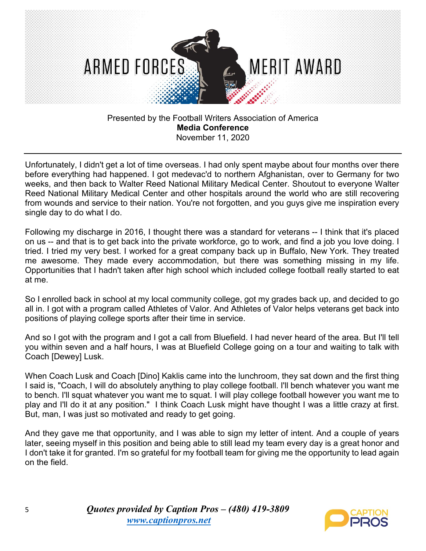

Unfortunately, I didn't get a lot of time overseas. I had only spent maybe about four months over there before everything had happened. I got medevac'd to northern Afghanistan, over to Germany for two weeks, and then back to Walter Reed National Military Medical Center. Shoutout to everyone Walter Reed National Military Medical Center and other hospitals around the world who are still recovering from wounds and service to their nation. You're not forgotten, and you guys give me inspiration every single day to do what I do.

Following my discharge in 2016, I thought there was a standard for veterans -- I think that it's placed on us -- and that is to get back into the private workforce, go to work, and find a job you love doing. I tried. I tried my very best. I worked for a great company back up in Buffalo, New York. They treated me awesome. They made every accommodation, but there was something missing in my life. Opportunities that I hadn't taken after high school which included college football really started to eat at me.

So I enrolled back in school at my local community college, got my grades back up, and decided to go all in. I got with a program called Athletes of Valor. And Athletes of Valor helps veterans get back into positions of playing college sports after their time in service.

And so I got with the program and I got a call from Bluefield. I had never heard of the area. But I'll tell you within seven and a half hours, I was at Bluefield College going on a tour and waiting to talk with Coach [Dewey] Lusk.

When Coach Lusk and Coach [Dino] Kaklis came into the lunchroom, they sat down and the first thing I said is, "Coach, I will do absolutely anything to play college football. I'll bench whatever you want me to bench. I'll squat whatever you want me to squat. I will play college football however you want me to play and I'll do it at any position." I think Coach Lusk might have thought I was a little crazy at first. But, man, I was just so motivated and ready to get going.

And they gave me that opportunity, and I was able to sign my letter of intent. And a couple of years later, seeing myself in this position and being able to still lead my team every day is a great honor and I don't take it for granted. I'm so grateful for my football team for giving me the opportunity to lead again on the field.

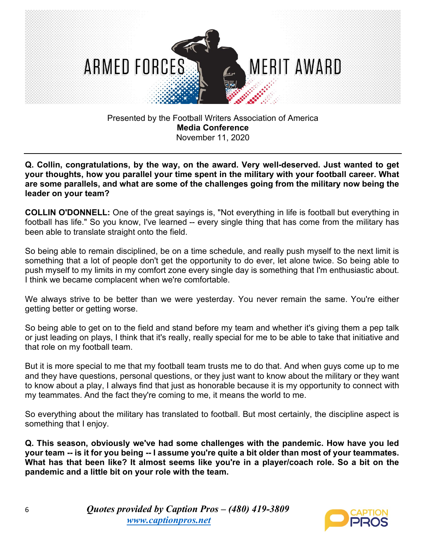

**Q. Collin, congratulations, by the way, on the award. Very well-deserved. Just wanted to get your thoughts, how you parallel your time spent in the military with your football career. What are some parallels, and what are some of the challenges going from the military now being the leader on your team?** 

**COLLIN O'DONNELL:** One of the great sayings is, "Not everything in life is football but everything in football has life." So you know, I've learned -- every single thing that has come from the military has been able to translate straight onto the field.

So being able to remain disciplined, be on a time schedule, and really push myself to the next limit is something that a lot of people don't get the opportunity to do ever, let alone twice. So being able to push myself to my limits in my comfort zone every single day is something that I'm enthusiastic about. I think we became complacent when we're comfortable.

We always strive to be better than we were yesterday. You never remain the same. You're either getting better or getting worse.

So being able to get on to the field and stand before my team and whether it's giving them a pep talk or just leading on plays, I think that it's really, really special for me to be able to take that initiative and that role on my football team.

But it is more special to me that my football team trusts me to do that. And when guys come up to me and they have questions, personal questions, or they just want to know about the military or they want to know about a play, I always find that just as honorable because it is my opportunity to connect with my teammates. And the fact they're coming to me, it means the world to me.

So everything about the military has translated to football. But most certainly, the discipline aspect is something that I enjoy.

**Q. This season, obviously we've had some challenges with the pandemic. How have you led your team -- is it for you being -- I assume you're quite a bit older than most of your teammates. What has that been like? It almost seems like you're in a player/coach role. So a bit on the pandemic and a little bit on your role with the team.**

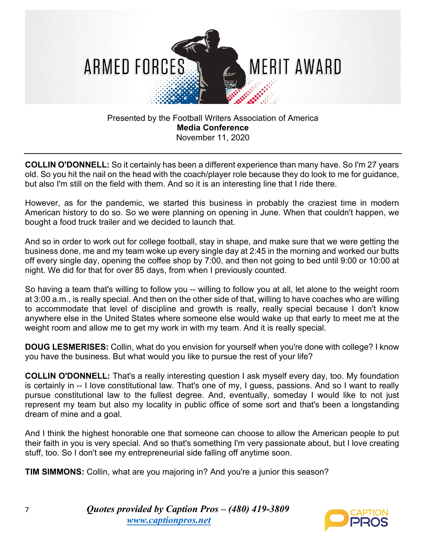

**COLLIN O'DONNELL:** So it certainly has been a different experience than many have. So I'm 27 years old. So you hit the nail on the head with the coach/player role because they do look to me for guidance, but also I'm still on the field with them. And so it is an interesting line that I ride there.

However, as for the pandemic, we started this business in probably the craziest time in modern American history to do so. So we were planning on opening in June. When that couldn't happen, we bought a food truck trailer and we decided to launch that.

And so in order to work out for college football, stay in shape, and make sure that we were getting the business done, me and my team woke up every single day at 2:45 in the morning and worked our butts off every single day, opening the coffee shop by 7:00, and then not going to bed until 9:00 or 10:00 at night. We did for that for over 85 days, from when I previously counted.

So having a team that's willing to follow you -- willing to follow you at all, let alone to the weight room at 3:00 a.m., is really special. And then on the other side of that, willing to have coaches who are willing to accommodate that level of discipline and growth is really, really special because I don't know anywhere else in the United States where someone else would wake up that early to meet me at the weight room and allow me to get my work in with my team. And it is really special.

**DOUG LESMERISES:** Collin, what do you envision for yourself when you're done with college? I know you have the business. But what would you like to pursue the rest of your life?

**COLLIN O'DONNELL:** That's a really interesting question I ask myself every day, too. My foundation is certainly in -- I love constitutional law. That's one of my, I guess, passions. And so I want to really pursue constitutional law to the fullest degree. And, eventually, someday I would like to not just represent my team but also my locality in public office of some sort and that's been a longstanding dream of mine and a goal.

And I think the highest honorable one that someone can choose to allow the American people to put their faith in you is very special. And so that's something I'm very passionate about, but I love creating stuff, too. So I don't see my entrepreneurial side falling off anytime soon.

**TIM SIMMONS:** Collin, what are you majoring in? And you're a junior this season?

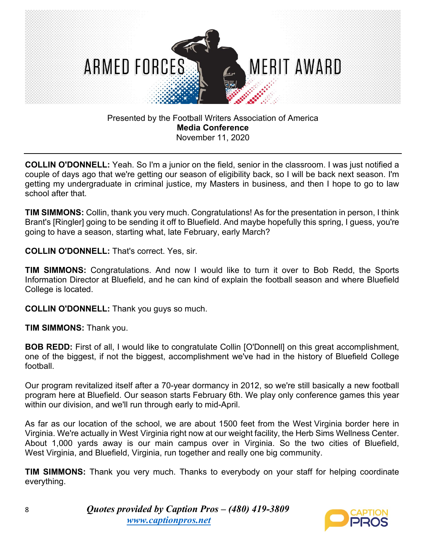

**COLLIN O'DONNELL:** Yeah. So I'm a junior on the field, senior in the classroom. I was just notified a couple of days ago that we're getting our season of eligibility back, so I will be back next season. I'm getting my undergraduate in criminal justice, my Masters in business, and then I hope to go to law school after that.

**TIM SIMMONS:** Collin, thank you very much. Congratulations! As for the presentation in person, I think Brant's [Ringler] going to be sending it off to Bluefield. And maybe hopefully this spring, I guess, you're going to have a season, starting what, late February, early March?

**COLLIN O'DONNELL:** That's correct. Yes, sir.

**TIM SIMMONS:** Congratulations. And now I would like to turn it over to Bob Redd, the Sports Information Director at Bluefield, and he can kind of explain the football season and where Bluefield College is located.

**COLLIN O'DONNELL:** Thank you guys so much.

**TIM SIMMONS:** Thank you.

**BOB REDD:** First of all, I would like to congratulate Collin [O'Donnell] on this great accomplishment, one of the biggest, if not the biggest, accomplishment we've had in the history of Bluefield College football.

Our program revitalized itself after a 70-year dormancy in 2012, so we're still basically a new football program here at Bluefield. Our season starts February 6th. We play only conference games this year within our division, and we'll run through early to mid-April.

As far as our location of the school, we are about 1500 feet from the West Virginia border here in Virginia. We're actually in West Virginia right now at our weight facility, the Herb Sims Wellness Center. About 1,000 yards away is our main campus over in Virginia. So the two cities of Bluefield, West Virginia, and Bluefield, Virginia, run together and really one big community.

**TIM SIMMONS:** Thank you very much. Thanks to everybody on your staff for helping coordinate everything.